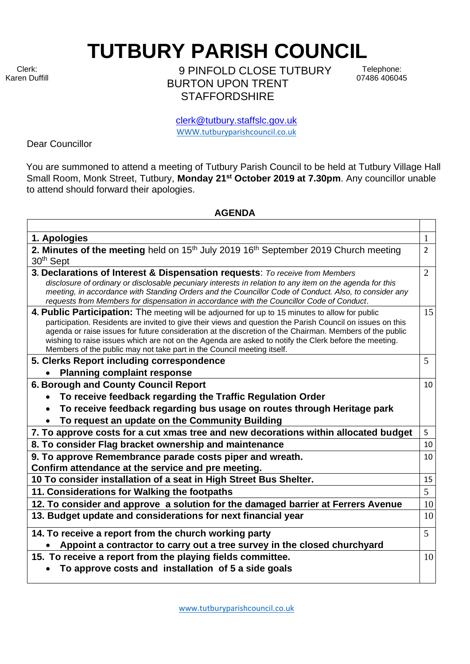Clerk: Karen Duffill **TUTBURY PARISH COUNCIL** 

9 PINFOLD CLOSE TUTBURY BURTON UPON TRENT **STAFFORDSHIRE** 

Telephone: 07486 406045

clerk@tutbury.staffslc.gov.uk [WWW.tutburyparishcouncil.co.uk](http://www.tutburyparishcouncil.co.uk/)

Dear Councillor

You are summoned to attend a meeting of Tutbury Parish Council to be held at Tutbury Village Hall Small Room, Monk Street, Tutbury, **Monday 21st October 2019 at 7.30pm**. Any councillor unable to attend should forward their apologies.

## **AGENDA**

| 1. Apologies                                                                                                                                                                                                                                                                                                                                                                                                                                                                                                 | $\mathbf{1}$   |
|--------------------------------------------------------------------------------------------------------------------------------------------------------------------------------------------------------------------------------------------------------------------------------------------------------------------------------------------------------------------------------------------------------------------------------------------------------------------------------------------------------------|----------------|
| 2. Minutes of the meeting held on 15 <sup>th</sup> July 2019 16 <sup>th</sup> September 2019 Church meeting<br>30 <sup>th</sup> Sept                                                                                                                                                                                                                                                                                                                                                                         | $\overline{2}$ |
| 3. Declarations of Interest & Dispensation requests: To receive from Members<br>disclosure of ordinary or disclosable pecuniary interests in relation to any item on the agenda for this<br>meeting, in accordance with Standing Orders and the Councillor Code of Conduct. Also, to consider any<br>requests from Members for dispensation in accordance with the Councillor Code of Conduct.                                                                                                               | $\overline{2}$ |
| 4. Public Participation: The meeting will be adjourned for up to 15 minutes to allow for public<br>participation. Residents are invited to give their views and question the Parish Council on issues on this<br>agenda or raise issues for future consideration at the discretion of the Chairman. Members of the public<br>wishing to raise issues which are not on the Agenda are asked to notify the Clerk before the meeting.<br>Members of the public may not take part in the Council meeting itself. | 15             |
| 5. Clerks Report including correspondence                                                                                                                                                                                                                                                                                                                                                                                                                                                                    | 5              |
| <b>Planning complaint response</b>                                                                                                                                                                                                                                                                                                                                                                                                                                                                           |                |
| 6. Borough and County Council Report                                                                                                                                                                                                                                                                                                                                                                                                                                                                         | 10             |
| To receive feedback regarding the Traffic Regulation Order                                                                                                                                                                                                                                                                                                                                                                                                                                                   |                |
| To receive feedback regarding bus usage on routes through Heritage park                                                                                                                                                                                                                                                                                                                                                                                                                                      |                |
| To request an update on the Community Building                                                                                                                                                                                                                                                                                                                                                                                                                                                               |                |
| 7. To approve costs for a cut xmas tree and new decorations within allocated budget                                                                                                                                                                                                                                                                                                                                                                                                                          | 5              |
| 8. To consider Flag bracket ownership and maintenance                                                                                                                                                                                                                                                                                                                                                                                                                                                        | 10             |
| 9. To approve Remembrance parade costs piper and wreath.                                                                                                                                                                                                                                                                                                                                                                                                                                                     | 10             |
| Confirm attendance at the service and pre meeting.                                                                                                                                                                                                                                                                                                                                                                                                                                                           |                |
| 10 To consider installation of a seat in High Street Bus Shelter.                                                                                                                                                                                                                                                                                                                                                                                                                                            | 15             |
| 11. Considerations for Walking the footpaths                                                                                                                                                                                                                                                                                                                                                                                                                                                                 | 5              |
| 12. To consider and approve a solution for the damaged barrier at Ferrers Avenue                                                                                                                                                                                                                                                                                                                                                                                                                             | 10             |
| 13. Budget update and considerations for next financial year                                                                                                                                                                                                                                                                                                                                                                                                                                                 | 10             |
| 14. To receive a report from the church working party                                                                                                                                                                                                                                                                                                                                                                                                                                                        | $\overline{5}$ |
| Appoint a contractor to carry out a tree survey in the closed churchyard                                                                                                                                                                                                                                                                                                                                                                                                                                     |                |
| 15. To receive a report from the playing fields committee.                                                                                                                                                                                                                                                                                                                                                                                                                                                   | 10             |
| To approve costs and installation of 5 a side goals                                                                                                                                                                                                                                                                                                                                                                                                                                                          |                |
|                                                                                                                                                                                                                                                                                                                                                                                                                                                                                                              |                |